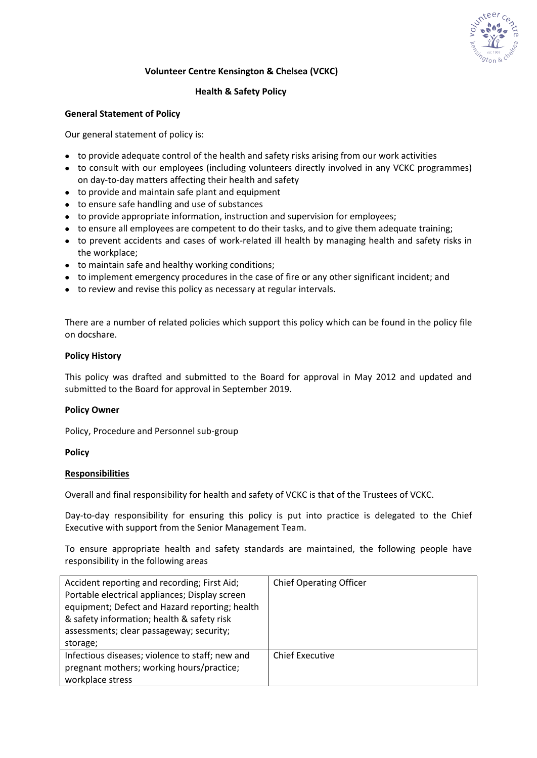

# **Volunteer Centre Kensington & Chelsea (VCKC)**

# **Health & Safety Policy**

# **General Statement of Policy**

Our general statement of policy is:

- to provide adequate control of the health and safety risks arising from our work activities
- to consult with our employees (including volunteers directly involved in any VCKC programmes) on day-to-day matters affecting their health and safety
- to provide and maintain safe plant and equipment
- to ensure safe handling and use of substances
- to provide appropriate information, instruction and supervision for employees;
- to ensure all employees are competent to do their tasks, and to give them adequate training;
- to prevent accidents and cases of work-related ill health by managing health and safety risks in the workplace;
- to maintain safe and healthy working conditions;
- to implement emergency procedures in the case of fire or any other significant incident; and
- to review and revise this policy as necessary at regular intervals.

There are a number of related policies which support this policy which can be found in the policy file on docshare.

## **Policy History**

This policy was drafted and submitted to the Board for approval in May 2012 and updated and submitted to the Board for approval in September 2019.

## **Policy Owner**

Policy, Procedure and Personnel sub-group

## **Policy**

#### **Responsibilities**

Overall and final responsibility for health and safety of VCKC is that of the Trustees of VCKC.

Day-to-day responsibility for ensuring this policy is put into practice is delegated to the Chief Executive with support from the Senior Management Team.

To ensure appropriate health and safety standards are maintained, the following people have responsibility in the following areas

| Accident reporting and recording; First Aid;<br>Portable electrical appliances; Display screen<br>equipment; Defect and Hazard reporting; health<br>& safety information; health & safety risk<br>assessments; clear passageway; security;<br>storage; | <b>Chief Operating Officer</b> |
|--------------------------------------------------------------------------------------------------------------------------------------------------------------------------------------------------------------------------------------------------------|--------------------------------|
| Infectious diseases; violence to staff; new and<br>pregnant mothers; working hours/practice;<br>workplace stress                                                                                                                                       | <b>Chief Executive</b>         |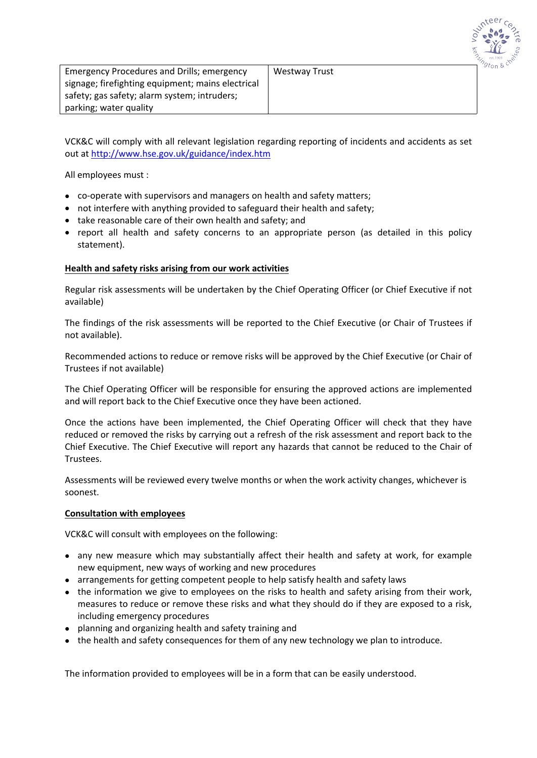

| <b>Emergency Procedures and Drills; emergency</b> | Westway Trust |
|---------------------------------------------------|---------------|
| signage; firefighting equipment; mains electrical |               |
| safety; gas safety; alarm system; intruders;      |               |
| parking; water quality                            |               |

VCK&C will comply with all relevant legislation regarding reporting of incidents and accidents as set out at<http://www.hse.gov.uk/guidance/index.htm>

All employees must :

- co-operate with supervisors and managers on health and safety matters;
- not interfere with anything provided to safeguard their health and safety;
- take reasonable care of their own health and safety; and
- report all health and safety concerns to an appropriate person (as detailed in this policy statement).

## **Health and safety risks arising from our work activities**

Regular risk assessments will be undertaken by the Chief Operating Officer (or Chief Executive if not available)

The findings of the risk assessments will be reported to the Chief Executive (or Chair of Trustees if not available).

Recommended actions to reduce or remove risks will be approved by the Chief Executive (or Chair of Trustees if not available)

The Chief Operating Officer will be responsible for ensuring the approved actions are implemented and will report back to the Chief Executive once they have been actioned.

Once the actions have been implemented, the Chief Operating Officer will check that they have reduced or removed the risks by carrying out a refresh of the risk assessment and report back to the Chief Executive. The Chief Executive will report any hazards that cannot be reduced to the Chair of Trustees.

Assessments will be reviewed every twelve months or when the work activity changes, whichever is soonest.

## **Consultation with employees**

VCK&C will consult with employees on the following:

- any new measure which may substantially affect their health and safety at work, for example new equipment, new ways of working and new procedures
- arrangements for getting competent people to help satisfy health and safety laws
- the information we give to employees on the risks to health and safety arising from their work, measures to reduce or remove these risks and what they should do if they are exposed to a risk, including emergency procedures
- planning and organizing health and safety training and
- the health and safety consequences for them of any new technology we plan to introduce.

The information provided to employees will be in a form that can be easily understood.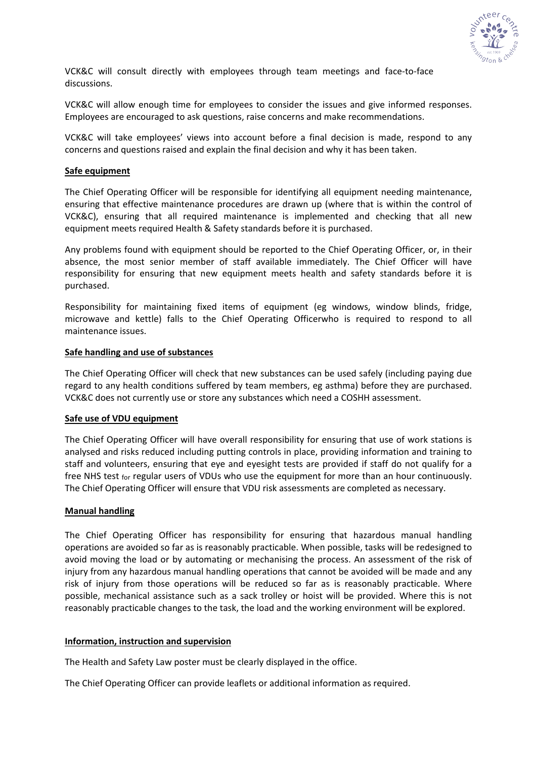

VCK&C will consult directly with employees through team meetings and face-to-face discussions.

VCK&C will allow enough time for employees to consider the issues and give informed responses. Employees are encouraged to ask questions, raise concerns and make recommendations.

VCK&C will take employees' views into account before a final decision is made, respond to any concerns and questions raised and explain the final decision and why it has been taken.

## **Safe equipment**

The Chief Operating Officer will be responsible for identifying all equipment needing maintenance, ensuring that effective maintenance procedures are drawn up (where that is within the control of VCK&C), ensuring that all required maintenance is implemented and checking that all new equipment meets required Health & Safety standards before it is purchased.

Any problems found with equipment should be reported to the Chief Operating Officer, or, in their absence, the most senior member of staff available immediately. The Chief Officer will have responsibility for ensuring that new equipment meets health and safety standards before it is purchased.

Responsibility for maintaining fixed items of equipment (eg windows, window blinds, fridge, microwave and kettle) falls to the Chief Operating Officerwho is required to respond to all maintenance issues.

#### **Safe handling and use of substances**

The Chief Operating Officer will check that new substances can be used safely (including paying due regard to any health conditions suffered by team members, eg asthma) before they are purchased. VCK&C does not currently use or store any substances which need a COSHH assessment.

#### **Safe use of VDU equipment**

The Chief Operating Officer will have overall responsibility for ensuring that use of work stations is analysed and risks reduced including putting controls in place, providing information and training to staff and volunteers, ensuring that eye and eyesight tests are provided if staff do not qualify for a free NHS test for regular users of VDUs who use the equipment for more than an hour continuously. The Chief Operating Officer will ensure that VDU risk assessments are completed as necessary.

## **Manual handling**

The Chief Operating Officer has responsibility for ensuring that hazardous manual handling operations are avoided so far as is reasonably practicable. When possible, tasks will be redesigned to avoid moving the load or by automating or mechanising the process. An assessment of the risk of injury from any hazardous manual handling operations that cannot be avoided will be made and any risk of injury from those operations will be reduced so far as is reasonably practicable. Where possible, mechanical assistance such as a sack trolley or hoist will be provided. Where this is not reasonably practicable changes to the task, the load and the working environment will be explored.

#### **Information, instruction and supervision**

The Health and Safety Law poster must be clearly displayed in the office.

The Chief Operating Officer can provide leaflets or additional information as required.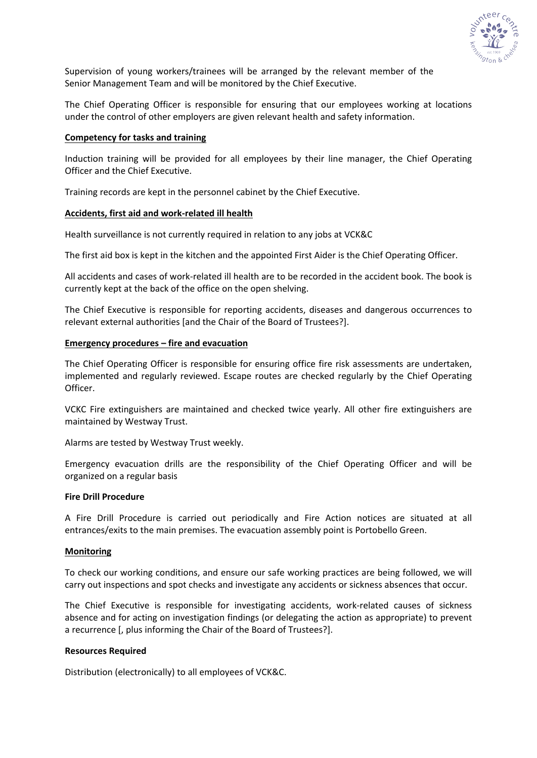

Supervision of young workers/trainees will be arranged by the relevant member of the Senior Management Team and will be monitored by the Chief Executive.

The Chief Operating Officer is responsible for ensuring that our employees working at locations under the control of other employers are given relevant health and safety information.

### **Competency for tasks and training**

Induction training will be provided for all employees by their line manager, the Chief Operating Officer and the Chief Executive.

Training records are kept in the personnel cabinet by the Chief Executive.

### **Accidents, first aid and work-related ill health**

Health surveillance is not currently required in relation to any jobs at VCK&C

The first aid box is kept in the kitchen and the appointed First Aider is the Chief Operating Officer.

All accidents and cases of work-related ill health are to be recorded in the accident book. The book is currently kept at the back of the office on the open shelving.

The Chief Executive is responsible for reporting accidents, diseases and dangerous occurrences to relevant external authorities [and the Chair of the Board of Trustees?].

### **Emergency procedures – fire and evacuation**

The Chief Operating Officer is responsible for ensuring office fire risk assessments are undertaken, implemented and regularly reviewed. Escape routes are checked regularly by the Chief Operating Officer.

VCKC Fire extinguishers are maintained and checked twice yearly. All other fire extinguishers are maintained by Westway Trust.

Alarms are tested by Westway Trust weekly.

Emergency evacuation drills are the responsibility of the Chief Operating Officer and will be organized on a regular basis

## **Fire Drill Procedure**

A Fire Drill Procedure is carried out periodically and Fire Action notices are situated at all entrances/exits to the main premises. The evacuation assembly point is Portobello Green.

## **Monitoring**

To check our working conditions, and ensure our safe working practices are being followed, we will carry out inspections and spot checks and investigate any accidents or sickness absences that occur.

The Chief Executive is responsible for investigating accidents, work-related causes of sickness absence and for acting on investigation findings (or delegating the action as appropriate) to prevent a recurrence [, plus informing the Chair of the Board of Trustees?].

## **Resources Required**

Distribution (electronically) to all employees of VCK&C.